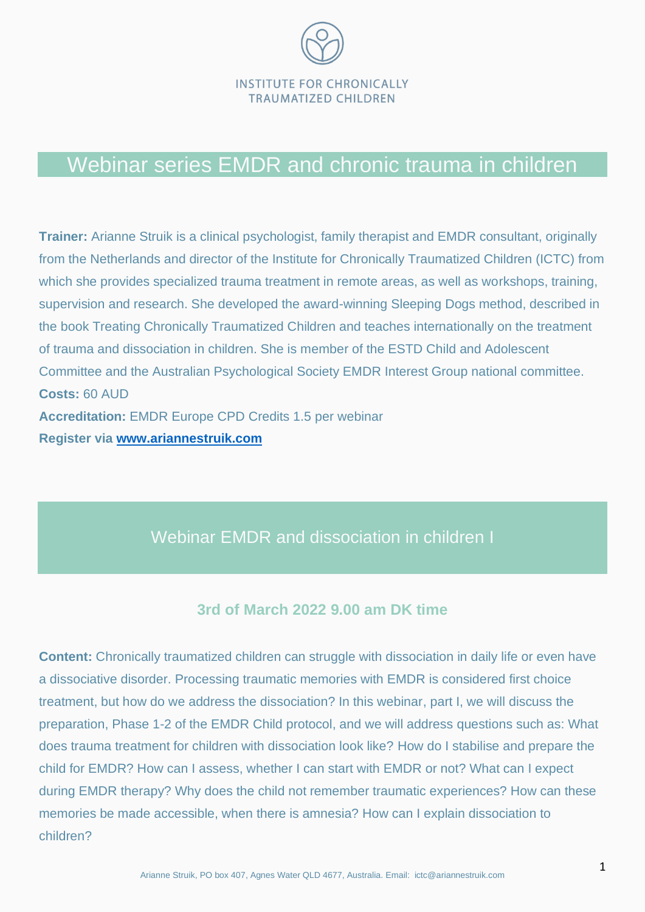

## Webinar series EMDR and chronic trauma in children

**Trainer:** Arianne Struik is a clinical psychologist, family therapist and EMDR consultant, originally from the Netherlands and director of the Institute for Chronically Traumatized Children (ICTC) from which she provides specialized trauma treatment in remote areas, as well as workshops, training, supervision and research. She developed the award-winning Sleeping Dogs method, described in the book Treating Chronically Traumatized Children and teaches internationally on the treatment of trauma and dissociation in children. She is member of the ESTD Child and Adolescent Committee and the Australian Psychological Society EMDR Interest Group national committee. **Costs:** 60 AUD **Accreditation:** EMDR Europe CPD Credits 1.5 per webinar **Register via [www.ariannestruik.com](http://www.ariannestruik.com/)**

## Webinar EMDR and dissociation in children I

#### **3rd of March 2022 9.00 am DK time**

**Content:** Chronically traumatized children can struggle with dissociation in daily life or even have a dissociative disorder. Processing traumatic memories with EMDR is considered first choice treatment, but how do we address the dissociation? In this webinar, part I, we will discuss the preparation, Phase 1-2 of the EMDR Child protocol, and we will address questions such as: What does trauma treatment for children with dissociation look like? How do I stabilise and prepare the child for EMDR? How can I assess, whether I can start with EMDR or not? What can I expect during EMDR therapy? Why does the child not remember traumatic experiences? How can these memories be made accessible, when there is amnesia? How can I explain dissociation to children?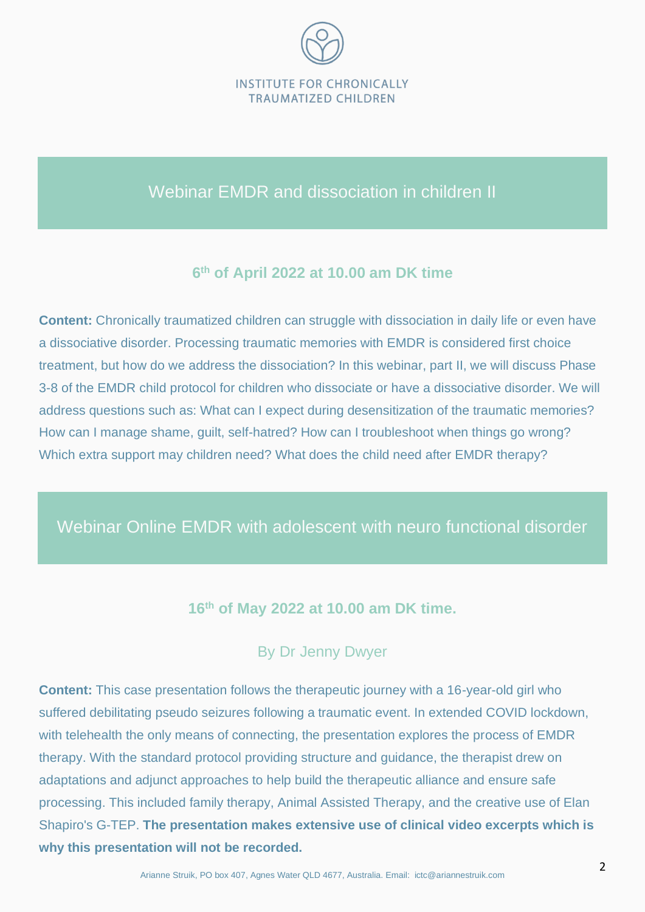

## Webinar EMDR and dissociation in children II

#### **6 th of April 2022 at 10.00 am DK time**

**Content:** Chronically traumatized children can struggle with dissociation in daily life or even have a dissociative disorder. Processing traumatic memories with EMDR is considered first choice treatment, but how do we address the dissociation? In this webinar, part II, we will discuss Phase 3-8 of the EMDR child protocol for children who dissociate or have a dissociative disorder. We will address questions such as: What can I expect during desensitization of the traumatic memories? How can I manage shame, guilt, self-hatred? How can I troubleshoot when things go wrong? Which extra support may children need? What does the child need after EMDR therapy?

## Webinar Online EMDR with adolescent with neuro functional disorder

### **16th of May 2022 at 10.00 am DK time.**

### By Dr Jenny Dwyer

**Content:** This case presentation follows the therapeutic journey with a 16-year-old girl who suffered debilitating pseudo seizures following a traumatic event. In extended COVID lockdown, with telehealth the only means of connecting, the presentation explores the process of EMDR therapy. With the standard protocol providing structure and guidance, the therapist drew on adaptations and adjunct approaches to help build the therapeutic alliance and ensure safe processing. This included family therapy, Animal Assisted Therapy, and the creative use of Elan Shapiro's G-TEP. **The presentation makes extensive use of clinical video excerpts which is why this presentation will not be recorded.**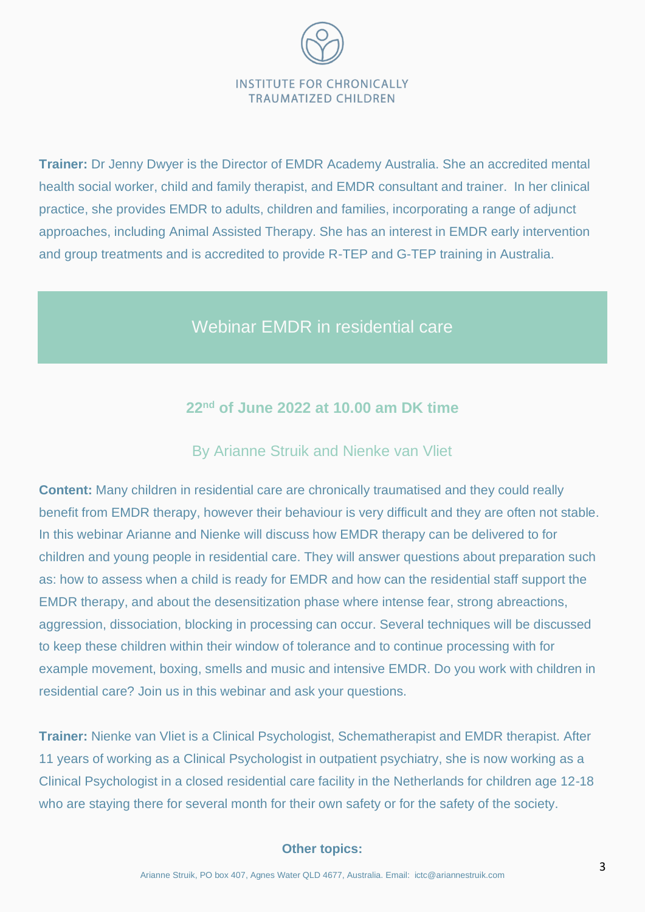# **INSTITUTE FOR CHRONICALLY TRAUMATIZED CHILDREN**

**Trainer:** Dr Jenny Dwyer is the Director of EMDR Academy Australia. She an accredited mental health social worker, child and family therapist, and EMDR consultant and trainer. In her clinical practice, she provides EMDR to adults, children and families, incorporating a range of adjunct approaches, including Animal Assisted Therapy. She has an interest in EMDR early intervention and group treatments and is accredited to provide R-TEP and G-TEP training in Australia.

## Webinar EMDR in residential care

#### **22nd of June 2022 at 10.00 am DK time**

#### By Arianne Struik and Nienke van Vliet

**Content:** Many children in residential care are chronically traumatised and they could really benefit from EMDR therapy, however their behaviour is very difficult and they are often not stable. In this webinar Arianne and Nienke will discuss how EMDR therapy can be delivered to for children and young people in residential care. They will answer questions about preparation such as: how to assess when a child is ready for EMDR and how can the residential staff support the EMDR therapy, and about the desensitization phase where intense fear, strong abreactions, aggression, dissociation, blocking in processing can occur. Several techniques will be discussed to keep these children within their window of tolerance and to continue processing with for example movement, boxing, smells and music and intensive EMDR. Do you work with children in residential care? Join us in this webinar and ask your questions.

**Trainer:** Nienke van Vliet is a Clinical Psychologist, Schematherapist and EMDR therapist. After 11 years of working as a Clinical Psychologist in outpatient psychiatry, she is now working as a Clinical Psychologist in a closed residential care facility in the Netherlands for children age 12-18 who are staying there for several month for their own safety or for the safety of the society.

#### **Other topics:**